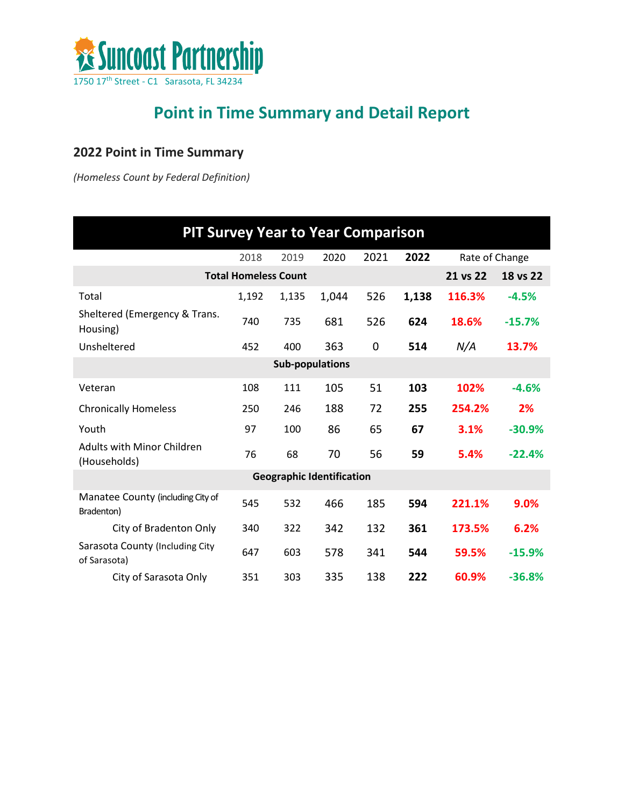

## **Point in Time Summary and Detail Report**

## **2022 Point in Time Summary**

*(Homeless Count by Federal Definition)*

| <b>PIT Survey Year to Year Comparison</b>         |                             |                        |                                  |      |       |                |          |
|---------------------------------------------------|-----------------------------|------------------------|----------------------------------|------|-------|----------------|----------|
|                                                   | 2018                        | 2019                   | 2020                             | 2021 | 2022  | Rate of Change |          |
|                                                   | <b>Total Homeless Count</b> |                        |                                  |      |       | 21 vs 22       | 18 vs 22 |
| Total                                             | 1,192                       | 1,135                  | 1,044                            | 526  | 1,138 | 116.3%         | $-4.5%$  |
| Sheltered (Emergency & Trans.<br>Housing)         | 740                         | 735                    | 681                              | 526  | 624   | 18.6%          | $-15.7%$ |
| Unsheltered                                       | 452                         | 400                    | 363                              | 0    | 514   | N/A            | 13.7%    |
|                                                   |                             | <b>Sub-populations</b> |                                  |      |       |                |          |
| Veteran                                           | 108                         | 111                    | 105                              | 51   | 103   | 102%           | $-4.6%$  |
| <b>Chronically Homeless</b>                       | 250                         | 246                    | 188                              | 72   | 255   | 254.2%         | 2%       |
| Youth                                             | 97                          | 100                    | 86                               | 65   | 67    | 3.1%           | $-30.9%$ |
| <b>Adults with Minor Children</b><br>(Households) | 76                          | 68                     | 70                               | 56   | 59    | 5.4%           | $-22.4%$ |
|                                                   |                             |                        | <b>Geographic Identification</b> |      |       |                |          |
| Manatee County (including City of<br>Bradenton)   | 545                         | 532                    | 466                              | 185  | 594   | 221.1%         | 9.0%     |
| City of Bradenton Only                            | 340                         | 322                    | 342                              | 132  | 361   | 173.5%         | 6.2%     |
| Sarasota County (Including City<br>of Sarasota)   | 647                         | 603                    | 578                              | 341  | 544   | 59.5%          | $-15.9%$ |
| City of Sarasota Only                             | 351                         | 303                    | 335                              | 138  | 222   | 60.9%          | $-36.8%$ |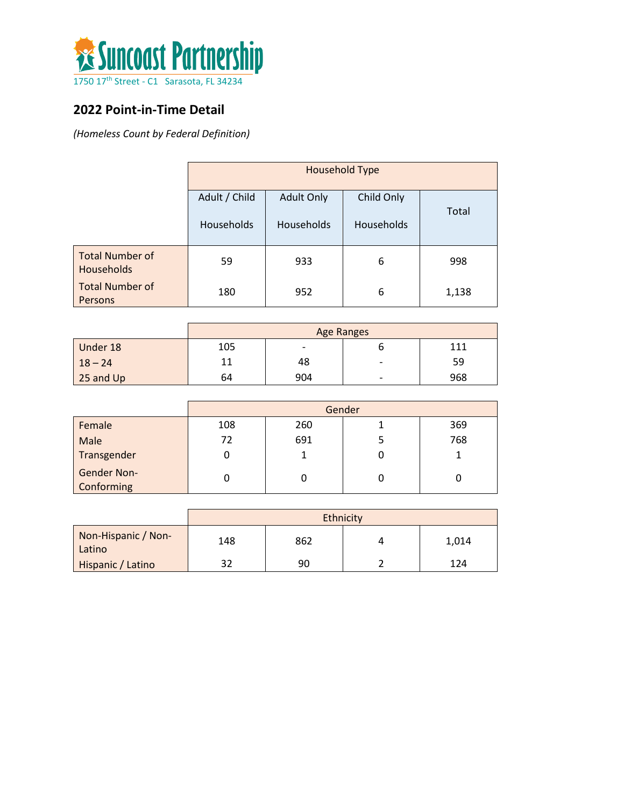

## **2022 Point-in-Time Detail**

*(Homeless Count by Federal Definition)*

|                                             | <b>Household Type</b> |                   |            |       |  |
|---------------------------------------------|-----------------------|-------------------|------------|-------|--|
|                                             | Adult / Child         | <b>Adult Only</b> | Child Only | Total |  |
|                                             | <b>Households</b>     | <b>Households</b> | Households |       |  |
| <b>Total Number of</b><br><b>Households</b> | 59                    | 933               | 6          | 998   |  |
| <b>Total Number of</b><br>Persons           | 180                   | 952               | 6          | 1,138 |  |

|             | <b>Age Ranges</b> |                          |   |     |
|-------------|-------------------|--------------------------|---|-----|
| Under 18    | 105               | $\overline{\phantom{0}}$ |   | 111 |
| $18 - 24$   |                   | 48                       | - | 59  |
| $25$ and Up | 64                | 904                      | - | 968 |

|                                  | Gender |     |  |     |
|----------------------------------|--------|-----|--|-----|
| Female                           | 108    | 260 |  | 369 |
| Male                             | 72     | 691 |  | 768 |
| Transgender                      |        |     |  |     |
| <b>Gender Non-</b><br>Conforming |        |     |  |     |

|                               | Ethnicity |     |  |       |  |
|-------------------------------|-----------|-----|--|-------|--|
| Non-Hispanic / Non-<br>Latino | 148       | 862 |  | 1,014 |  |
| Hispanic / Latino             | 32        | 90  |  | 124   |  |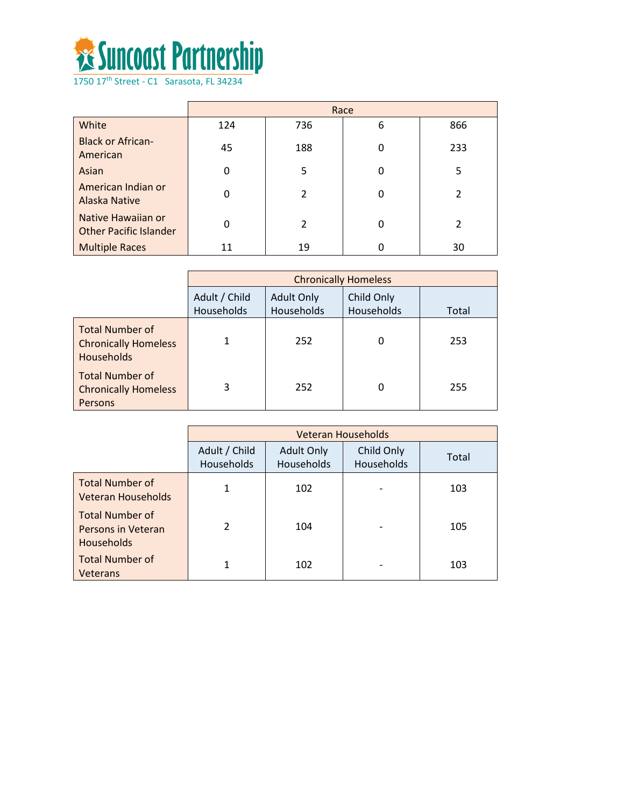

|                                                     | Race     |                |   |                |
|-----------------------------------------------------|----------|----------------|---|----------------|
| White                                               | 124      | 736            | 6 | 866            |
| <b>Black or African-</b><br>American                | 45       | 188            | 0 | 233            |
| Asian                                               | $\Omega$ | 5              | 0 | 5              |
| American Indian or<br><b>Alaska Native</b>          | $\Omega$ | $\overline{2}$ | O | $\mathfrak{p}$ |
| Native Hawaiian or<br><b>Other Pacific Islander</b> | 0        | 2              | 0 | $\mathfrak{p}$ |
| <b>Multiple Races</b>                               | 11       | 19             |   | 30             |

|                                                                            | <b>Chronically Homeless</b> |                                 |                          |       |  |
|----------------------------------------------------------------------------|-----------------------------|---------------------------------|--------------------------|-------|--|
|                                                                            | Adult / Child<br>Households | <b>Adult Only</b><br>Households | Child Only<br>Households | Total |  |
| <b>Total Number of</b><br><b>Chronically Homeless</b><br><b>Households</b> |                             | 252                             | 0                        | 253   |  |
| <b>Total Number of</b><br><b>Chronically Homeless</b><br>Persons           | 3                           | 252                             | 0                        | 255   |  |

|                                                                   | <b>Veteran Households</b>   |                                 |                          |       |  |
|-------------------------------------------------------------------|-----------------------------|---------------------------------|--------------------------|-------|--|
|                                                                   | Adult / Child<br>Households | <b>Adult Only</b><br>Households | Child Only<br>Households | Total |  |
| <b>Total Number of</b><br>Veteran Households                      | 1                           | 102                             |                          | 103   |  |
| <b>Total Number of</b><br>Persons in Veteran<br><b>Households</b> | $\mathcal{P}$               | 104                             |                          | 105   |  |
| <b>Total Number of</b><br>Veterans                                | 1                           | 102                             |                          | 103   |  |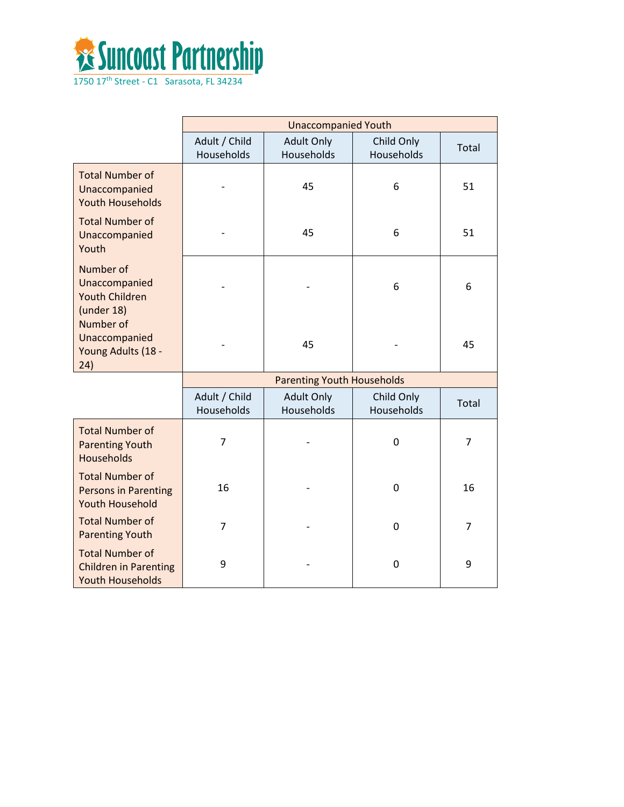

|                                                                                   | <b>Unaccompanied Youth</b>  |                                   |                          |                |
|-----------------------------------------------------------------------------------|-----------------------------|-----------------------------------|--------------------------|----------------|
|                                                                                   | Adult / Child<br>Households | <b>Adult Only</b><br>Households   | Child Only<br>Households | Total          |
| <b>Total Number of</b><br>Unaccompanied<br><b>Youth Households</b>                |                             | 45                                | 6                        | 51             |
| <b>Total Number of</b><br>Unaccompanied<br>Youth                                  |                             | 45                                | 6                        | 51             |
| Number of<br>Unaccompanied<br><b>Youth Children</b><br>(under 18)                 |                             |                                   | 6                        | 6              |
| Number of<br>Unaccompanied<br>Young Adults (18 -<br>24)                           |                             | 45                                |                          | 45             |
|                                                                                   |                             | <b>Parenting Youth Households</b> |                          |                |
|                                                                                   | Adult / Child<br>Households | <b>Adult Only</b><br>Households   | Child Only<br>Households | Total          |
| <b>Total Number of</b><br><b>Parenting Youth</b><br><b>Households</b>             | $\overline{7}$              |                                   | 0                        | 7              |
| <b>Total Number of</b><br><b>Persons in Parenting</b><br><b>Youth Household</b>   | 16                          |                                   | 0                        | 16             |
| <b>Total Number of</b><br><b>Parenting Youth</b>                                  | $\overline{7}$              |                                   | 0                        | $\overline{7}$ |
| <b>Total Number of</b><br><b>Children in Parenting</b><br><b>Youth Households</b> | 9                           |                                   | 0                        | 9              |